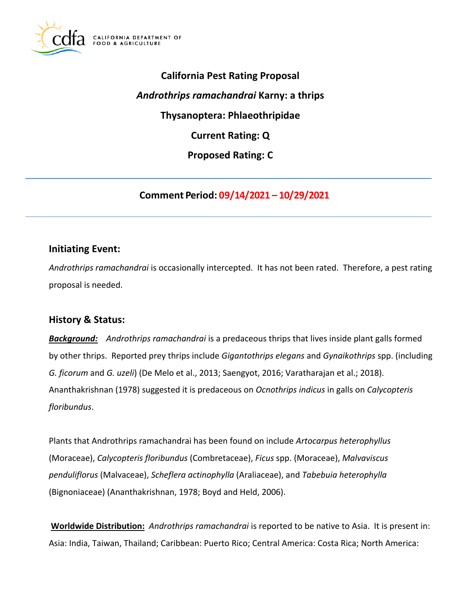

**California Pest Rating Proposal**  *Androthrips ramachandrai* **Karny: a thrips Thysanoptera: Phlaeothripidae Current Rating: Q Proposed Rating: C** 

**Comment Period: 09/14/2021 – 10/29/2021**

## **Initiating Event:**

*Androthrips ramachandrai* is occasionally intercepted. It has not been rated. Therefore, a pest rating proposal is needed.

### **History & Status:**

*Background: Androthrips ramachandrai* is a predaceous thrips that lives inside plant galls formed by other thrips. Reported prey thrips include *Gigantothrips elegans* and *Gynaikothrips* spp. (including *G. ficorum* and *G. uzeli*) (De Melo et al., 2013; Saengyot, 2016; Varatharajan et al.; 2018). Ananthakrishnan (1978) suggested it is predaceous on *Ocnothrips indicus* in galls on *Calycopteris floribundus*.

Plants that Androthrips ramachandrai has been found on include *Artocarpus heterophyllus*  (Moraceae), *Calycopteris floribundus* (Combretaceae), *Ficus* spp. (Moraceae), *Malvaviscus penduliflorus* (Malvaceae), *Scheflera actinophylla* (Araliaceae), and *Tabebuia heterophylla*  (Bignoniaceae) (Ananthakrishnan, 1978; Boyd and Held, 2006).

**Worldwide Distribution:** *Androthrips ramachandrai* is reported to be native to Asia. It is present in: Asia: India, Taiwan, Thailand; Caribbean: Puerto Rico; Central America: Costa Rica; North America: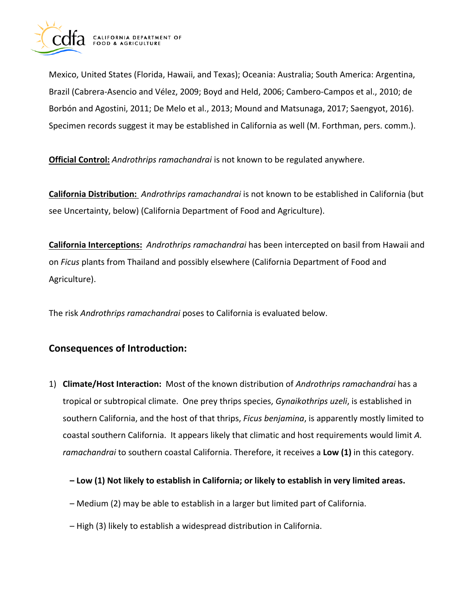

Mexico, United States (Florida, Hawaii, and Texas); Oceania: Australia; South America: Argentina, Brazil (Cabrera-Asencio and Vélez, 2009; Boyd and Held, 2006; Cambero-Campos et al., 2010; de Borbón and Agostini, 2011; De Melo et al., 2013; Mound and Matsunaga, 2017; Saengyot, 2016). Specimen records suggest it may be established in California as well (M. Forthman, pers. comm.).

**Official Control:** *Androthrips ramachandrai* is not known to be regulated anywhere.

**California Distribution:** *Androthrips ramachandrai* is not known to be established in California (but see Uncertainty, below) (California Department of Food and Agriculture).

**California Interceptions:** *Androthrips ramachandrai* has been intercepted on basil from Hawaii and on *Ficus* plants from Thailand and possibly elsewhere (California Department of Food and Agriculture).

The risk *Androthrips ramachandrai* poses to California is evaluated below.

# **Consequences of Introduction:**

- 1) **Climate/Host Interaction:** Most of the known distribution of *Androthrips ramachandrai* has a tropical or subtropical climate. One prey thrips species, *Gynaikothrips uzeli*, is established in southern California, and the host of that thrips, *Ficus benjamina*, is apparently mostly limited to coastal southern California. It appears likely that climatic and host requirements would limit *A. ramachandrai* to southern coastal California. Therefore, it receives a **Low (1)** in this category.
	- **– Low (1) Not likely to establish in California; or likely to establish in very limited areas.**
	- Medium (2) may be able to establish in a larger but limited part of California.
	- High (3) likely to establish a widespread distribution in California.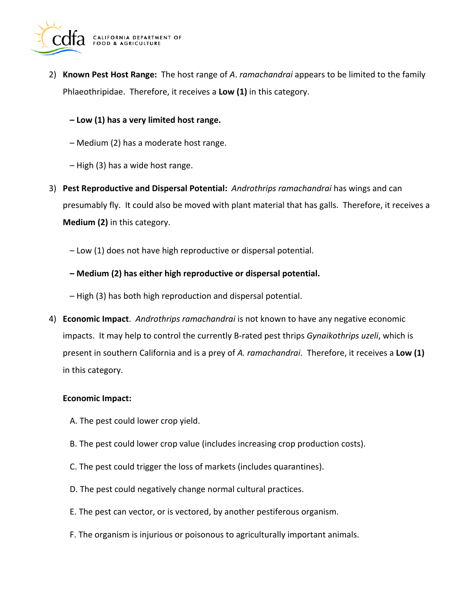

2) **Known Pest Host Range:** The host range of *A*. *ramachandrai* appears to be limited to the family Phlaeothripidae. Therefore, it receives a **Low (1)** in this category.

### **– Low (1) has a very limited host range.**

- Medium (2) has a moderate host range.
- High (3) has a wide host range.
- 3) **Pest Reproductive and Dispersal Potential:** *Androthrips ramachandrai* has wings and can presumably fly. It could also be moved with plant material that has galls. Therefore, it receives a **Medium (2)** in this category.
	- Low (1) does not have high reproductive or dispersal potential.
	- **– Medium (2) has either high reproductive or dispersal potential.**
	- High (3) has both high reproduction and dispersal potential.
- 4) **Economic Impact**. *Androthrips ramachandrai* is not known to have any negative economic impacts. It may help to control the currently B-rated pest thrips *Gynaikothrips uzeli*, which is present in southern California and is a prey of *A. ramachandrai*. Therefore, it receives a **Low (1)**  in this category.

#### **Economic Impact:**

- A. The pest could lower crop yield.
- B. The pest could lower crop value (includes increasing crop production costs).
- C. The pest could trigger the loss of markets (includes quarantines).
- D. The pest could negatively change normal cultural practices.
- E. The pest can vector, or is vectored, by another pestiferous organism.
- F. The organism is injurious or poisonous to agriculturally important animals.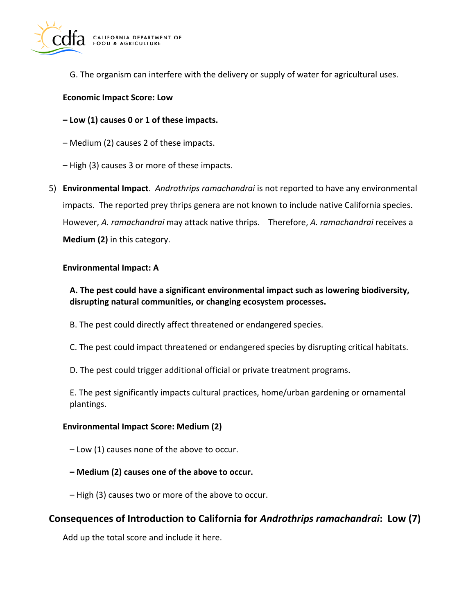

G. The organism can interfere with the delivery or supply of water for agricultural uses.

#### **Economic Impact Score: Low**

**– Low (1) causes 0 or 1 of these impacts.** 

– Medium (2) causes 2 of these impacts.

– High (3) causes 3 or more of these impacts.

5) **Environmental Impact**. *Androthrips ramachandrai* is not reported to have any environmental impacts. The reported prey thrips genera are not known to include native California species. However, *A. ramachandrai* may attack native thrips. Therefore, *A. ramachandrai* receives a **Medium (2)** in this category.

#### **Environmental Impact: A**

### **A. The pest could have a significant environmental impact such as lowering biodiversity, disrupting natural communities, or changing ecosystem processes.**

- B. The pest could directly affect threatened or endangered species.
- C. The pest could impact threatened or endangered species by disrupting critical habitats.
- D. The pest could trigger additional official or private treatment programs.

E. The pest significantly impacts cultural practices, home/urban gardening or ornamental plantings.

#### **Environmental Impact Score: Medium (2)**

- Low (1) causes none of the above to occur.
- **– Medium (2) causes one of the above to occur.**
- High (3) causes two or more of the above to occur.

# **Consequences of Introduction to California for** *Androthrips ramachandrai***: Low (7)**

Add up the total score and include it here.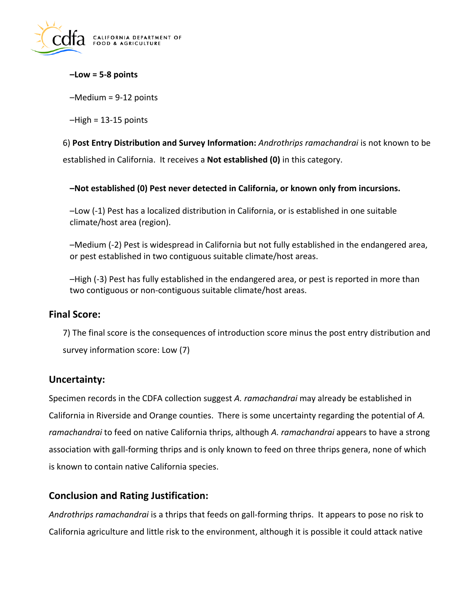

**–Low = 5-8 points** 

–Medium = 9-12 points

 $-High = 13-15$  points

6) **Post Entry Distribution and Survey Information:** *Androthrips ramachandrai* is not known to be established in California. It receives a **Not established (0)** in this category.

**–Not established (0) Pest never detected in California, or known only from incursions.** 

–Low (-1) Pest has a localized distribution in California, or is established in one suitable climate/host area (region).

–Medium (-2) Pest is widespread in California but not fully established in the endangered area, or pest established in two contiguous suitable climate/host areas.

–High (-3) Pest has fully established in the endangered area, or pest is reported in more than two contiguous or non-contiguous suitable climate/host areas.

### **Final Score:**

7) The final score is the consequences of introduction score minus the post entry distribution and survey information score: Low (7)

# **Uncertainty:**

Specimen records in the CDFA collection suggest *A. ramachandrai* may already be established in California in Riverside and Orange counties. There is some uncertainty regarding the potential of *A. ramachandrai* to feed on native California thrips, although *A. ramachandrai* appears to have a strong association with gall-forming thrips and is only known to feed on three thrips genera, none of which is known to contain native California species.

# **Conclusion and Rating Justification:**

*Androthrips ramachandrai* is a thrips that feeds on gall-forming thrips. It appears to pose no risk to California agriculture and little risk to the environment, although it is possible it could attack native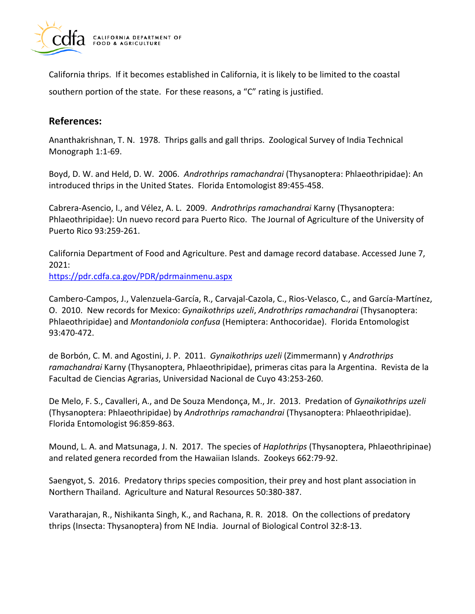

California thrips. If it becomes established in California, it is likely to be limited to the coastal southern portion of the state. For these reasons, a "C" rating is justified.

# **References:**

Ananthakrishnan, T. N. 1978. Thrips galls and gall thrips. Zoological Survey of India Technical Monograph 1:1-69.

Boyd, D. W. and Held, D. W. 2006. *Androthrips ramachandrai* (Thysanoptera: Phlaeothripidae): An introduced thrips in the United States. Florida Entomologist 89:455-458.

Cabrera-Asencio, I., and Vélez, A. L. 2009. *Androthrips ramachandrai* Karny (Thysanoptera: Phlaeothripidae): Un nuevo record para Puerto Rico. The Journal of Agriculture of the University of Puerto Rico 93:259-261.

California Department of Food and Agriculture. Pest and damage record database. Accessed June 7, 2021:

<https://pdr.cdfa.ca.gov/PDR/pdrmainmenu.aspx>

Cambero-Campos, J., Valenzuela-García, R., Carvajal-Cazola, C., Rios-Velasco, C., and García-Martínez, O. 2010. New records for Mexico: *Gynaikothrips uzeli*, *Androthrips ramachandrai* (Thysanoptera: Phlaeothripidae) and *Montandoniola confusa* (Hemiptera: Anthocoridae). Florida Entomologist 93:470-472.

de Borbón, C. M. and Agostini, J. P. 2011. *Gynaikothrips uzeli* (Zimmermann) y *Androthrips ramachandrai* Karny (Thysanoptera, Phlaeothripidae), primeras citas para la Argentina. Revista de la Facultad de Ciencias Agrarias, Universidad Nacional de Cuyo 43:253-260.

De Melo, F. S., Cavalleri, A., and De Souza Mendonҫa, M., Jr. 2013. Predation of *Gynaikothrips uzeli*  (Thysanoptera: Phlaeothripidae) by *Androthrips ramachandrai* (Thysanoptera: Phlaeothripidae). Florida Entomologist 96:859-863.

Mound, L. A. and Matsunaga, J. N. 2017. The species of *Haplothrips* (Thysanoptera, Phlaeothripinae) and related genera recorded from the Hawaiian Islands. Zookeys 662:79-92.

Saengyot, S. 2016. Predatory thrips species composition, their prey and host plant association in Northern Thailand. Agriculture and Natural Resources 50:380-387.

Varatharajan, R., Nishikanta Singh, K., and Rachana, R. R. 2018. On the collections of predatory thrips (Insecta: Thysanoptera) from NE India. Journal of Biological Control 32:8-13.